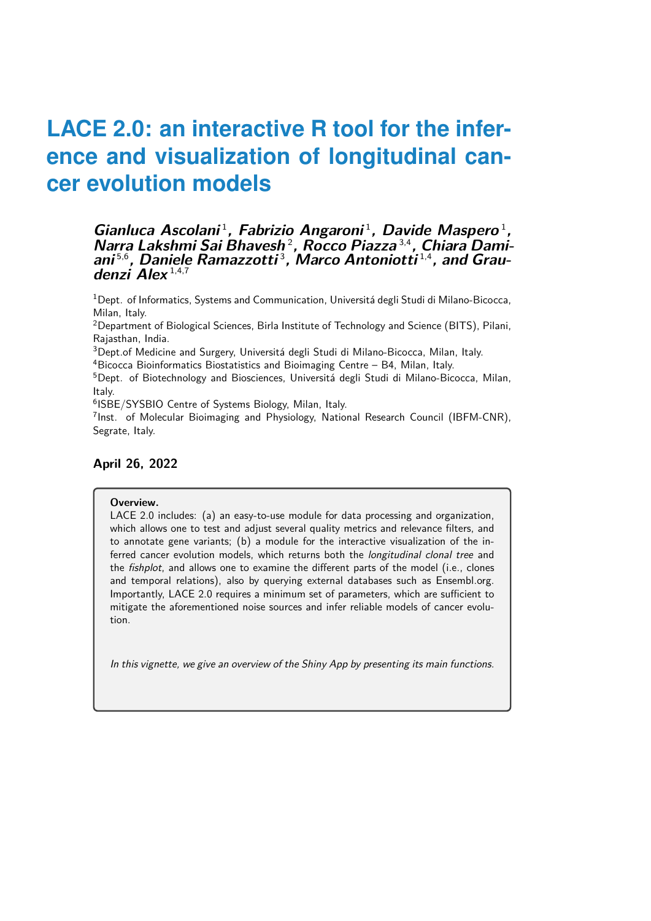### Gianluca Ascolani<sup>1</sup>, Fabrizio Angaroni<sup>1</sup>, Davide Maspero<sup>1</sup>, **Narra Lakshmi Sai Bhavesh** <sup>2</sup> **, Rocco Piazza** 3,4**, Chiara Damiani** 5,6**, Daniele Ramazzotti** <sup>3</sup> **, Marco Antoniotti** 1,4**, and Graudenzi Alex** 1,4,7

 $1$ Dept. of Informatics, Systems and Communication, Universitá degli Studi di Milano-Bicocca, Milan, Italy.

<sup>2</sup>Department of Biological Sciences, Birla Institute of Technology and Science (BITS), Pilani, Rajasthan, India.

<sup>3</sup>Dept.of Medicine and Surgery, Universitá degli Studi di Milano-Bicocca, Milan, Italy.

<sup>4</sup>Bicocca Bioinformatics Biostatistics and Bioimaging Centre – B4, Milan, Italy.

<sup>5</sup>Dept. of Biotechnology and Biosciences, Universitá degli Studi di Milano-Bicocca, Milan, Italy.

6 ISBE/SYSBIO Centre of Systems Biology, Milan, Italy.

<sup>7</sup>Inst. of Molecular Bioimaging and Physiology, National Research Council (IBFM-CNR), Segrate, Italy.

### **April 26, 2022**

#### **Overview.**

LACE 2.0 includes: (a) an easy-to-use module for data processing and organization, which allows one to test and adjust several quality metrics and relevance filters, and to annotate gene variants; (b) a module for the interactive visualization of the inferred cancer evolution models, which returns both the *longitudinal clonal tree* and the fishplot, and allows one to examine the different parts of the model (i.e., clones and temporal relations), also by querying external databases such as Ensembl.org. Importantly, LACE 2.0 requires a minimum set of parameters, which are sufficient to mitigate the aforementioned noise sources and infer reliable models of cancer evolution.

In this vignette, we give an overview of the Shiny App by presenting its main functions.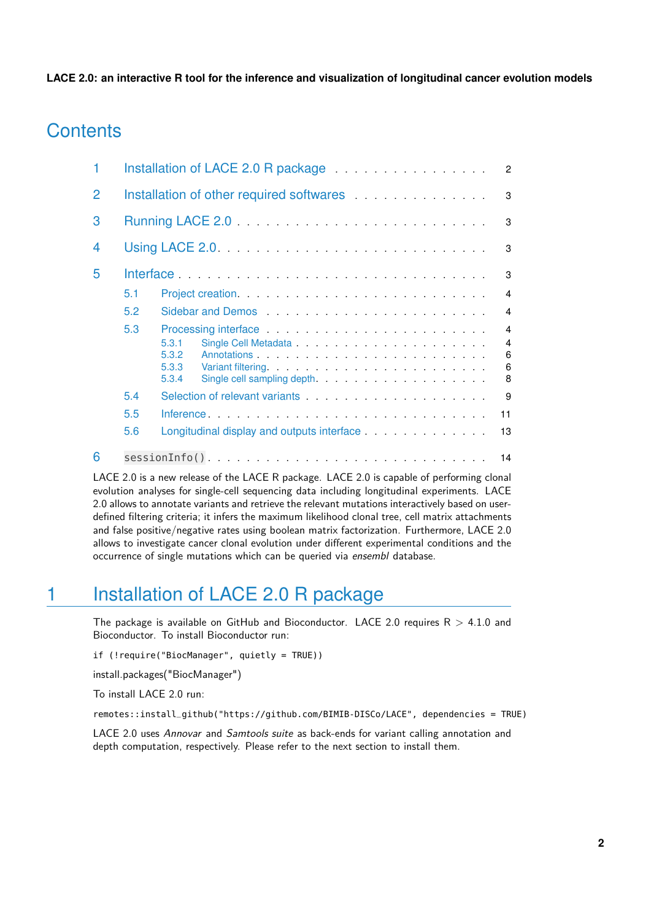# **Contents**

|                |     | Installation of LACE 2.0 R package <b>Example 2.0</b> R package<br>$\overline{2}$                                                                                                                                                                |
|----------------|-----|--------------------------------------------------------------------------------------------------------------------------------------------------------------------------------------------------------------------------------------------------|
| $\overline{2}$ |     | Installation of other required softwares<br>3                                                                                                                                                                                                    |
| 3              |     | 3                                                                                                                                                                                                                                                |
| 4              |     | 3                                                                                                                                                                                                                                                |
| 5              |     | Interface in the contract of the contract of the contract of the contract of the contract of the contract of the contract of the contract of the contract of the contract of the contract of the contract of the contract of t<br>3              |
|                | 5.1 | $\overline{4}$                                                                                                                                                                                                                                   |
|                | 5.2 | Sidebar and Demos entertainment and Demos<br>$\overline{4}$                                                                                                                                                                                      |
|                | 5.3 | Processing interface entertainment of the state of the state of the state of the state of the state of the state of the state of the state of the state of the state of the state of the state of the state of the state of th<br>$\overline{4}$ |
|                |     | $\overline{4}$<br>5.3.1                                                                                                                                                                                                                          |
|                |     | 6<br>5.3.2<br>$\,6\,$<br>5.3.3                                                                                                                                                                                                                   |
|                |     | 8<br>5.3.4                                                                                                                                                                                                                                       |
|                | 5.4 | Selection of relevant variants entertainment of the selection of relevant variants<br>9                                                                                                                                                          |
|                | 5.5 | 11                                                                                                                                                                                                                                               |
|                | 5.6 | Longitudinal display and outputs interface<br>13                                                                                                                                                                                                 |
| 6              |     | 14                                                                                                                                                                                                                                               |
|                |     | LACE 2.0 is a new release of the LACE R package. LACE 2.0 is capable of performing clonal                                                                                                                                                        |

evolution analyses for single-cell sequencing data including longitudinal experiments. LACE 2.0 allows to annotate variants and retrieve the relevant mutations interactively based on userdefined filtering criteria; it infers the maximum likelihood clonal tree, cell matrix attachments and false positive/negative rates using boolean matrix factorization. Furthermore, LACE 2.0 allows to investigate cancer clonal evolution under different experimental conditions and the occurrence of single mutations which can be queried via ensembl database.

# <span id="page-1-0"></span>1 Installation of LACE 2.0 R package

The package is available on GitHub and Bioconductor. LACE 2.0 requires  $R > 4.1.0$  and Bioconductor. To install Bioconductor run:

if (!require("BiocManager", quietly = TRUE))

install.packages("BiocManager")

To install LACE 2.0 run:

remotes::install\_github("https://github.com/BIMIB-DISCo/LACE", dependencies = TRUE)

<span id="page-1-1"></span>LACE 2.0 uses Annovar and Samtools suite as back-ends for variant calling annotation and depth computation, respectively. Please refer to the next section to install them.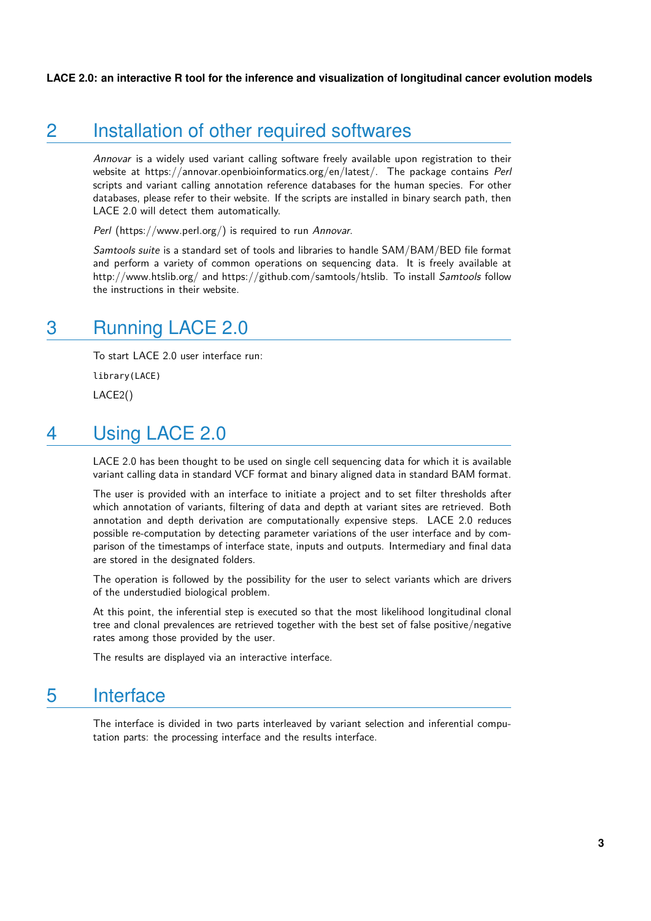# 2 Installation of other required softwares

Annovar is a widely used variant calling software freely available upon registration to their website at https://annovar.openbioinformatics.org/en/latest/. The package contains Perl scripts and variant calling annotation reference databases for the human species. For other databases, please refer to their website. If the scripts are installed in binary search path, then LACE 2.0 will detect them automatically.

Perl (https://www.perl.org/) is required to run Annovar.

<span id="page-2-0"></span>Samtools suite is a standard set of tools and libraries to handle SAM/BAM/BED file format and perform a variety of common operations on sequencing data. It is freely available at http://www.htslib.org/ and https://github.com/samtools/htslib. To install Samtools follow the instructions in their website.

# 3 Running LACE 2.0

To start LACE 2.0 user interface run: library(LACE)

<span id="page-2-1"></span>LACE2()

# 4 Using LACE 2.0

LACE 2.0 has been thought to be used on single cell sequencing data for which it is available variant calling data in standard VCF format and binary aligned data in standard BAM format.

The user is provided with an interface to initiate a project and to set filter thresholds after which annotation of variants, filtering of data and depth at variant sites are retrieved. Both annotation and depth derivation are computationally expensive steps. LACE 2.0 reduces possible re-computation by detecting parameter variations of the user interface and by comparison of the timestamps of interface state, inputs and outputs. Intermediary and final data are stored in the designated folders.

The operation is followed by the possibility for the user to select variants which are drivers of the understudied biological problem.

At this point, the inferential step is executed so that the most likelihood longitudinal clonal tree and clonal prevalences are retrieved together with the best set of false positive/negative rates among those provided by the user.

<span id="page-2-2"></span>The results are displayed via an interactive interface.

## 5 Interface

<span id="page-2-3"></span>The interface is divided in two parts interleaved by variant selection and inferential computation parts: the processing interface and the results interface.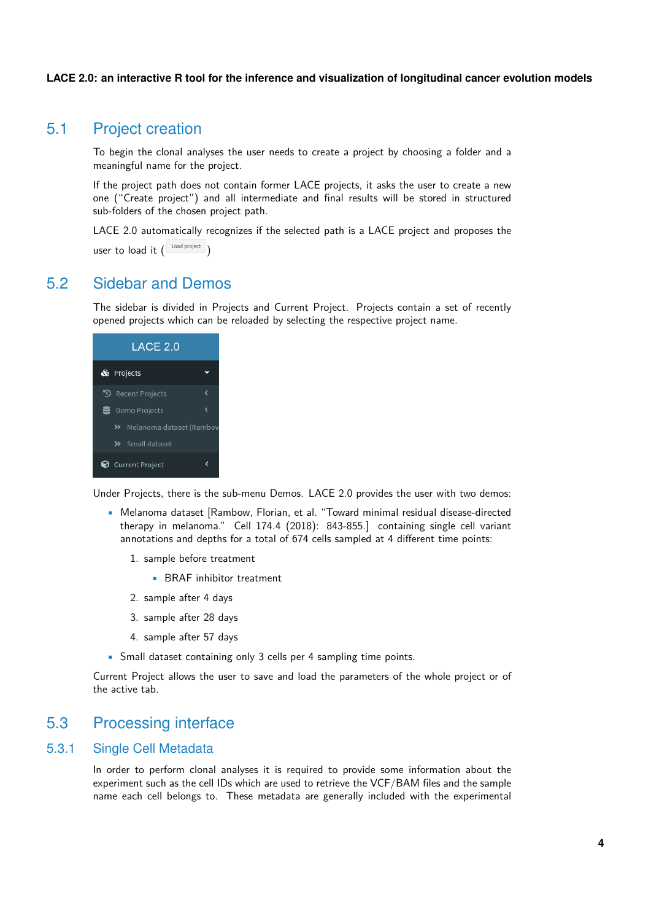## 5.1 Project creation

To begin the clonal analyses the user needs to create a project by choosing a folder and a meaningful name for the project.

If the project path does not contain former LACE projects, it asks the user to create a new one ("Create project") and all intermediate and final results will be stored in structured sub-folders of the chosen project path.

<span id="page-3-0"></span>LACE 2.0 automatically recognizes if the selected path is a LACE project and proposes the user to load it  $\left( \begin{array}{c} \text{Load project} \end{array} \right)$ 

## 5.2 Sidebar and Demos

The sidebar is divided in Projects and Current Project. Projects contain a set of recently opened projects which can be reloaded by selecting the respective project name.

| LACE 2.0   |                             |  |  |  |  |  |  |  |  |
|------------|-----------------------------|--|--|--|--|--|--|--|--|
| & Projects |                             |  |  |  |  |  |  |  |  |
|            | <b>Recent Projects</b>      |  |  |  |  |  |  |  |  |
|            | <b>三</b> Demo Projects      |  |  |  |  |  |  |  |  |
|            | >> Melanoma dataset (Rambow |  |  |  |  |  |  |  |  |
|            | >> Small dataset            |  |  |  |  |  |  |  |  |
|            | Current Project             |  |  |  |  |  |  |  |  |

Under Projects, there is the sub-menu Demos. LACE 2.0 provides the user with two demos:

- Melanoma dataset [Rambow, Florian, et al. "Toward minimal residual disease-directed therapy in melanoma." Cell 174.4 (2018): 843-855.] containing single cell variant annotations and depths for a total of 674 cells sampled at 4 different time points:
	- 1. sample before treatment
		- BRAF inhibitor treatment
	- 2. sample after 4 days
	- 3. sample after 28 days
	- 4. sample after 57 days
- Small dataset containing only 3 cells per 4 sampling time points.

<span id="page-3-1"></span>Current Project allows the user to save and load the parameters of the whole project or of the active tab.

## 5.3 Processing interface

### 5.3.1 Single Cell Metadata

<span id="page-3-2"></span>In order to perform clonal analyses it is required to provide some information about the experiment such as the cell IDs which are used to retrieve the VCF/BAM files and the sample name each cell belongs to. These metadata are generally included with the experimental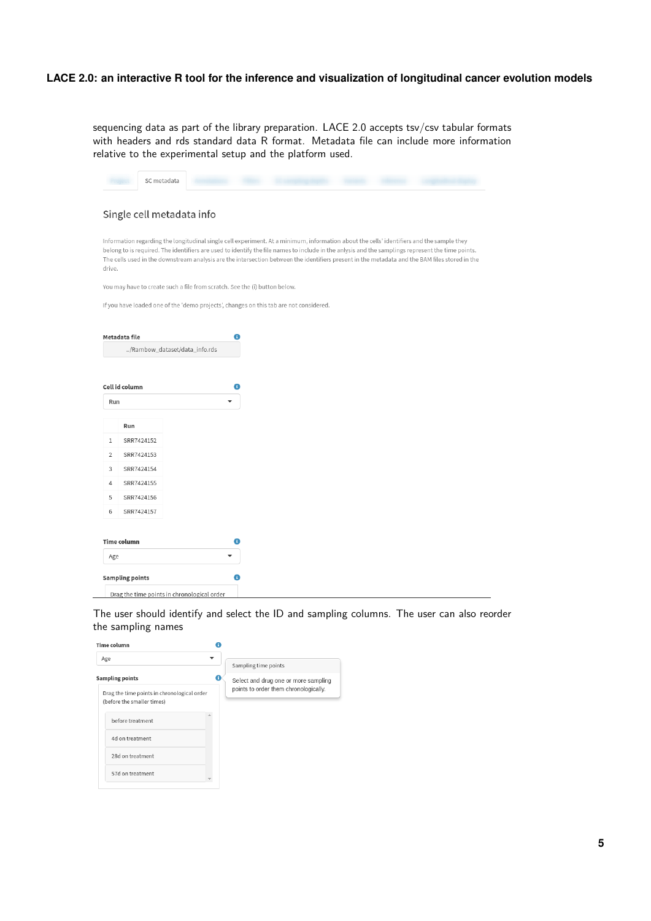sequencing data as part of the library preparation. LACE 2.0 accepts tsv/csv tabular formats with headers and rds standard data R format. Metadata file can include more information relative to the experimental setup and the platform used.

|                | Single cell metadata info     |                                                                                                                                                                                                                                                                                                                                                                                                                                                  |
|----------------|-------------------------------|--------------------------------------------------------------------------------------------------------------------------------------------------------------------------------------------------------------------------------------------------------------------------------------------------------------------------------------------------------------------------------------------------------------------------------------------------|
| drive.         |                               | Information regarding the longitudinal single cell experiment. At a minimum, information about the cells' identifiers and the sample they<br>belong to is required. The identifiers are used to identify the file names to include in the anlysis and the samplings represent the time points.<br>The cells used in the downstream analysis are the intersection between the identifiers present in the metadata and the BAM files stored in the |
|                |                               | You may have to create such a file from scratch. See the (i) button below.                                                                                                                                                                                                                                                                                                                                                                       |
|                |                               | If you have loaded one of the 'demo projects', changes on this tab are not considered.                                                                                                                                                                                                                                                                                                                                                           |
|                |                               |                                                                                                                                                                                                                                                                                                                                                                                                                                                  |
|                | Metadata file                 | A                                                                                                                                                                                                                                                                                                                                                                                                                                                |
|                | /Rambow_dataset/data_info.rds |                                                                                                                                                                                                                                                                                                                                                                                                                                                  |
|                |                               |                                                                                                                                                                                                                                                                                                                                                                                                                                                  |
|                |                               |                                                                                                                                                                                                                                                                                                                                                                                                                                                  |
|                |                               |                                                                                                                                                                                                                                                                                                                                                                                                                                                  |
|                | Cell id column                | 0                                                                                                                                                                                                                                                                                                                                                                                                                                                |
| Run            |                               |                                                                                                                                                                                                                                                                                                                                                                                                                                                  |
|                |                               |                                                                                                                                                                                                                                                                                                                                                                                                                                                  |
|                | Run                           |                                                                                                                                                                                                                                                                                                                                                                                                                                                  |
| 1              | SRR7424152                    |                                                                                                                                                                                                                                                                                                                                                                                                                                                  |
| $\overline{2}$ | SRR7424153                    |                                                                                                                                                                                                                                                                                                                                                                                                                                                  |
| 3              | SRR7424154                    |                                                                                                                                                                                                                                                                                                                                                                                                                                                  |
| 4              | SRR7424155                    |                                                                                                                                                                                                                                                                                                                                                                                                                                                  |
| 5              | SRR7424156                    |                                                                                                                                                                                                                                                                                                                                                                                                                                                  |
| 6              | SRR7424157                    |                                                                                                                                                                                                                                                                                                                                                                                                                                                  |
|                |                               |                                                                                                                                                                                                                                                                                                                                                                                                                                                  |
| Age            | <b>Time column</b>            | 0                                                                                                                                                                                                                                                                                                                                                                                                                                                |

The user should identify and select the ID and sampling columns. The user can also reorder the sampling names

| Time column                                                                                         |                                                                               |
|-----------------------------------------------------------------------------------------------------|-------------------------------------------------------------------------------|
| Age                                                                                                 | Sampling time points                                                          |
| <b>Sampling points</b><br>Drag the time points in chronological order<br>(before the smaller times) | Select and drug one or more sampling<br>points to order them chronologically. |
| before treatment                                                                                    |                                                                               |
| 4d on treatment                                                                                     |                                                                               |
| 28d on treatment                                                                                    |                                                                               |
| 57d on treatment                                                                                    |                                                                               |
|                                                                                                     |                                                                               |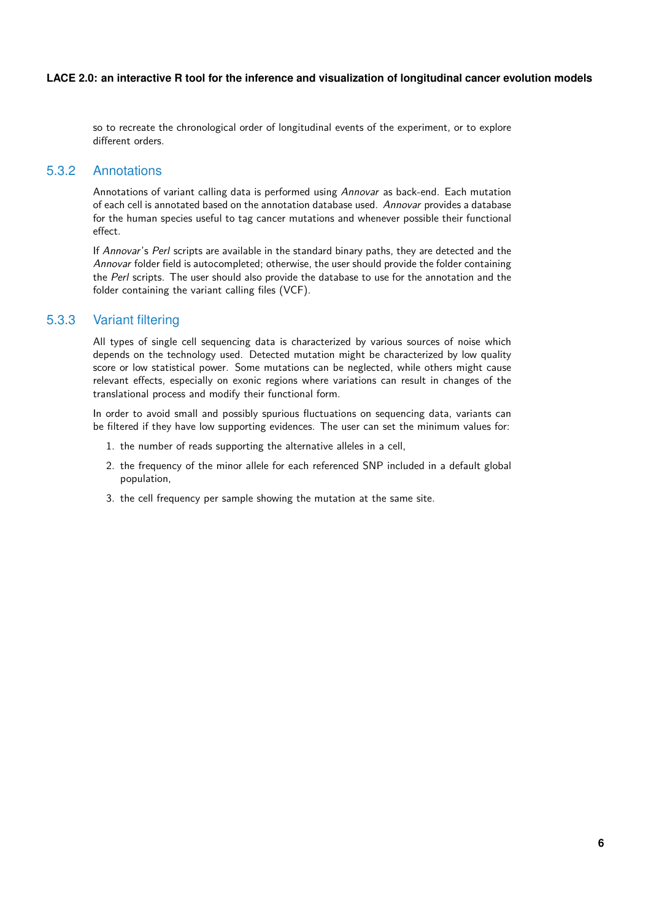<span id="page-5-0"></span>so to recreate the chronological order of longitudinal events of the experiment, or to explore different orders.

### 5.3.2 Annotations

Annotations of variant calling data is performed using Annovar as back-end. Each mutation of each cell is annotated based on the annotation database used. Annovar provides a database for the human species useful to tag cancer mutations and whenever possible their functional effect.

If Annovar's Perl scripts are available in the standard binary paths, they are detected and the Annovar folder field is autocompleted; otherwise, the user should provide the folder containing the Perl scripts. The user should also provide the database to use for the annotation and the folder containing the variant calling files (VCF).

### 5.3.3 Variant filtering

<span id="page-5-1"></span>All types of single cell sequencing data is characterized by various sources of noise which depends on the technology used. Detected mutation might be characterized by low quality score or low statistical power. Some mutations can be neglected, while others might cause relevant effects, especially on exonic regions where variations can result in changes of the translational process and modify their functional form.

In order to avoid small and possibly spurious fluctuations on sequencing data, variants can be filtered if they have low supporting evidences. The user can set the minimum values for:

- 1. the number of reads supporting the alternative alleles in a cell,
- 2. the frequency of the minor allele for each referenced SNP included in a default global population,
- 3. the cell frequency per sample showing the mutation at the same site.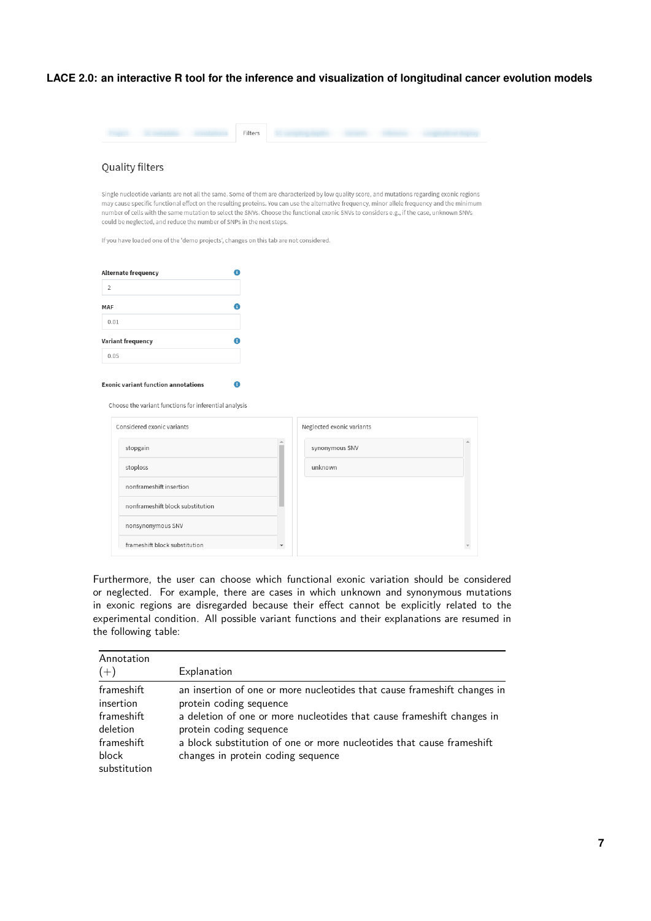| Quality filters<br>Single nucleotide variants are not all the same. Some of them are characterized by low quality score, and mutations regarding exonic regions<br>may cause specific functional effect on the resulting proteins. You can use the alternative frequency, minor allele frequency and the minimum |   |                           |  |  |
|------------------------------------------------------------------------------------------------------------------------------------------------------------------------------------------------------------------------------------------------------------------------------------------------------------------|---|---------------------------|--|--|
| number of cells with the same mutation to select the SNVs. Choose the functional exonic SNVs to considers e.g., if the case, unknown SNVs<br>could be neglected, and reduce the number of SNPs in the next steps.                                                                                                |   |                           |  |  |
| If you have loaded one of the 'demo projects', changes on this tab are not considered.                                                                                                                                                                                                                           |   |                           |  |  |
| Alternate frequency                                                                                                                                                                                                                                                                                              | A |                           |  |  |
| $\overline{2}$                                                                                                                                                                                                                                                                                                   |   |                           |  |  |
| <b>MAF</b>                                                                                                                                                                                                                                                                                                       |   |                           |  |  |
| 0.01                                                                                                                                                                                                                                                                                                             |   |                           |  |  |
| Variant frequency                                                                                                                                                                                                                                                                                                | A |                           |  |  |
|                                                                                                                                                                                                                                                                                                                  |   |                           |  |  |
| 0.05<br><b>Exonic variant function annotations</b>                                                                                                                                                                                                                                                               |   |                           |  |  |
| Choose the variant functions for inferential analysis<br>Considered exonic variants                                                                                                                                                                                                                              |   | Neglected exonic variants |  |  |
| stopgain                                                                                                                                                                                                                                                                                                         |   | synonymous SNV            |  |  |
| stoploss                                                                                                                                                                                                                                                                                                         |   | unknown                   |  |  |
| nonframeshift insertion                                                                                                                                                                                                                                                                                          |   |                           |  |  |
| nonframeshift block substitution                                                                                                                                                                                                                                                                                 |   |                           |  |  |
| nonsynonymous SNV                                                                                                                                                                                                                                                                                                |   |                           |  |  |
| frameshift block substitution                                                                                                                                                                                                                                                                                    |   |                           |  |  |
|                                                                                                                                                                                                                                                                                                                  |   |                           |  |  |

| Annotation<br>$(+)$                                                                      | Explanation                                                                                                                                                                                                                                                                                                             |
|------------------------------------------------------------------------------------------|-------------------------------------------------------------------------------------------------------------------------------------------------------------------------------------------------------------------------------------------------------------------------------------------------------------------------|
| frameshift<br>insertion<br>frameshift<br>deletion<br>frameshift<br>block<br>substitution | an insertion of one or more nucleotides that cause frameshift changes in<br>protein coding sequence<br>a deletion of one or more nucleotides that cause frameshift changes in<br>protein coding sequence<br>a block substitution of one or more nucleotides that cause frameshift<br>changes in protein coding sequence |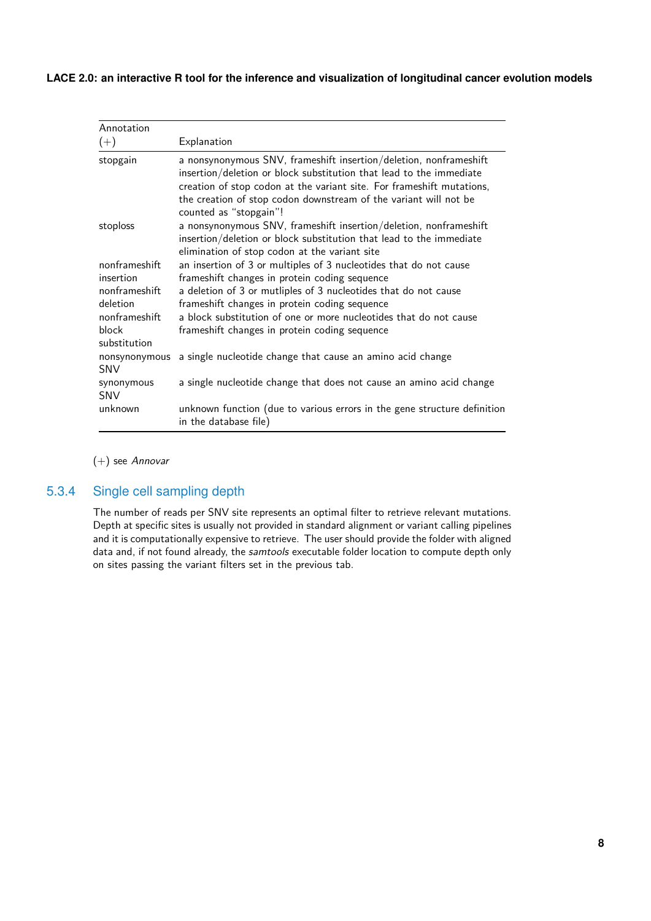| Annotation                  |                                                                                                                                                                                                                                                                                                                 |
|-----------------------------|-----------------------------------------------------------------------------------------------------------------------------------------------------------------------------------------------------------------------------------------------------------------------------------------------------------------|
| $(+)$                       | Explanation                                                                                                                                                                                                                                                                                                     |
| stopgain                    | a nonsynonymous SNV, frameshift insertion/deletion, nonframeshift<br>insertion/deletion or block substitution that lead to the immediate<br>creation of stop codon at the variant site. For frameshift mutations,<br>the creation of stop codon downstream of the variant will not be<br>counted as "stopgain"! |
| stoploss                    | a nonsynonymous SNV, frameshift insertion/deletion, nonframeshift<br>insertion/deletion or block substitution that lead to the immediate<br>elimination of stop codon at the variant site                                                                                                                       |
| nonframeshift               | an insertion of 3 or multiples of 3 nucleotides that do not cause                                                                                                                                                                                                                                               |
| insertion                   | frameshift changes in protein coding sequence                                                                                                                                                                                                                                                                   |
| nonframeshift               | a deletion of 3 or mutliples of 3 nucleotides that do not cause                                                                                                                                                                                                                                                 |
| deletion                    | frameshift changes in protein coding sequence                                                                                                                                                                                                                                                                   |
| nonframeshift               | a block substitution of one or more nucleotides that do not cause                                                                                                                                                                                                                                               |
| block<br>substitution       | frameshift changes in protein coding sequence                                                                                                                                                                                                                                                                   |
| nonsynonymous<br><b>SNV</b> | a single nucleotide change that cause an amino acid change                                                                                                                                                                                                                                                      |
| synonymous<br><b>SNV</b>    | a single nucleotide change that does not cause an amino acid change                                                                                                                                                                                                                                             |
| unknown                     | unknown function (due to various errors in the gene structure definition<br>in the database file)                                                                                                                                                                                                               |

#### <span id="page-7-0"></span>(+) see Annovar

### 5.3.4 Single cell sampling depth

The number of reads per SNV site represents an optimal filter to retrieve relevant mutations. Depth at specific sites is usually not provided in standard alignment or variant calling pipelines and it is computationally expensive to retrieve. The user should provide the folder with aligned data and, if not found already, the samtools executable folder location to compute depth only on sites passing the variant filters set in the previous tab.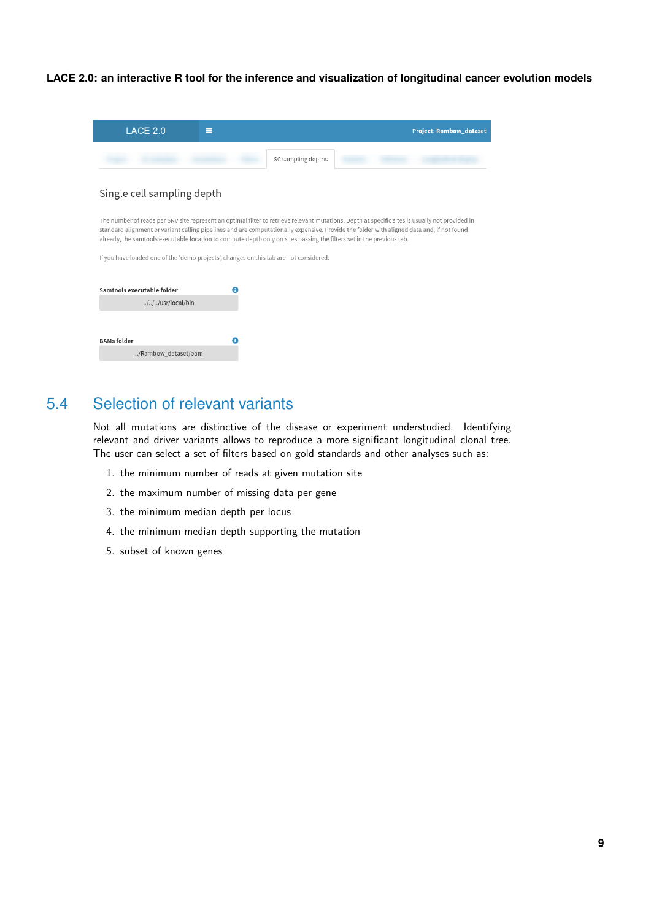| LACE 2.0<br>$\equiv$                                                                                                  | <b>Project: Rambow_dataset</b>                                                                                                                                                                                                                                                               |
|-----------------------------------------------------------------------------------------------------------------------|----------------------------------------------------------------------------------------------------------------------------------------------------------------------------------------------------------------------------------------------------------------------------------------------|
|                                                                                                                       | SC sampling depths                                                                                                                                                                                                                                                                           |
| Single cell sampling depth                                                                                            |                                                                                                                                                                                                                                                                                              |
| already, the samtools executable location to compute depth only on sites passing the filters set in the previous tab. | The number of reads per SNV site represent an optimal filter to retrieve relevant mutations. Depth at specific sites is usually not provided in<br>standard alignment or variant calling pipelines and are computationally expensive. Provide the folder with aligned data and, if not found |
| If you have loaded one of the 'demo projects', changes on this tab are not considered.                                |                                                                                                                                                                                                                                                                                              |
| Samtools executable folder<br>///usr/local/bin                                                                        |                                                                                                                                                                                                                                                                                              |
|                                                                                                                       |                                                                                                                                                                                                                                                                                              |
| <b>BAMs folder</b><br>A<br>/Rambow_dataset/bam                                                                        |                                                                                                                                                                                                                                                                                              |

## 5.4 Selection of relevant variants

<span id="page-8-0"></span>Not all mutations are distinctive of the disease or experiment understudied. Identifying relevant and driver variants allows to reproduce a more significant longitudinal clonal tree. The user can select a set of filters based on gold standards and other analyses such as:

- 1. the minimum number of reads at given mutation site
- 2. the maximum number of missing data per gene
- 3. the minimum median depth per locus
- 4. the minimum median depth supporting the mutation
- 5. subset of known genes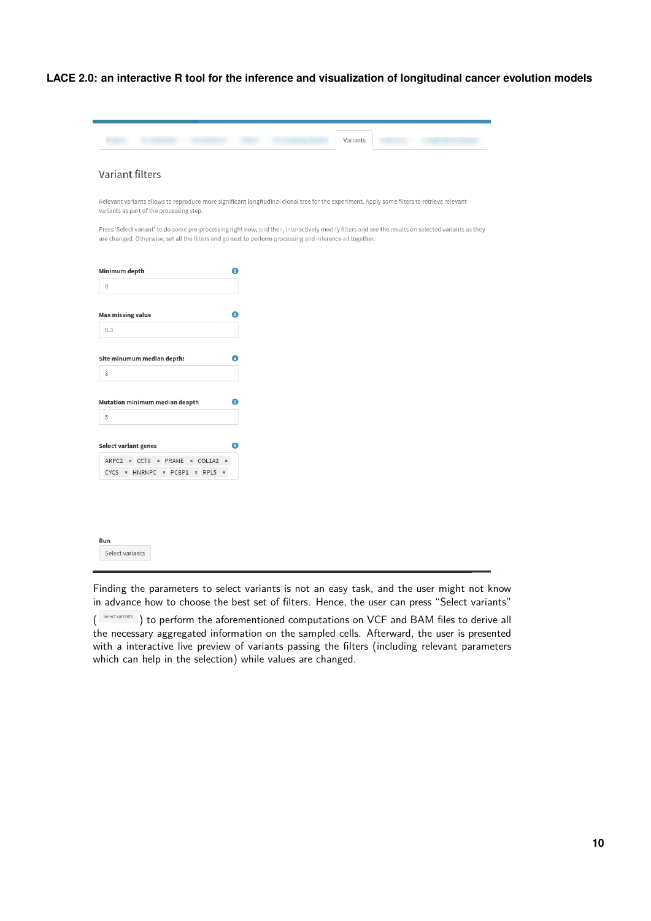|                                                                | Variants                                                                                                                                                                                                                                                         |
|----------------------------------------------------------------|------------------------------------------------------------------------------------------------------------------------------------------------------------------------------------------------------------------------------------------------------------------|
|                                                                |                                                                                                                                                                                                                                                                  |
| Variant filters                                                |                                                                                                                                                                                                                                                                  |
| variants as part of the processing step.                       | Relevant variants allows to reproduce more significant longitudinal clonal tree for the experiment. Apply some filters to retrieve relevant                                                                                                                      |
|                                                                | Press 'Select variant' to do some pre-processing right now, and then, interactively modify filters and see the results on selected variants as they<br>are changed. Otherwise, set all the filters and go next to perform processing and inference all together. |
| Minimum depth                                                  | ❶                                                                                                                                                                                                                                                                |
| 8                                                              |                                                                                                                                                                                                                                                                  |
| <b>Max missing value</b>                                       |                                                                                                                                                                                                                                                                  |
|                                                                | ❶                                                                                                                                                                                                                                                                |
| 0.3                                                            |                                                                                                                                                                                                                                                                  |
|                                                                |                                                                                                                                                                                                                                                                  |
|                                                                | 0                                                                                                                                                                                                                                                                |
| 8                                                              |                                                                                                                                                                                                                                                                  |
| Site minumum median depth:<br>Mutation minimum median deapth   | 0                                                                                                                                                                                                                                                                |
| 5                                                              |                                                                                                                                                                                                                                                                  |
|                                                                | A                                                                                                                                                                                                                                                                |
| <b>Select variant genes</b><br>ARPC2 * CCT8 * PRAME * COL1A2 * |                                                                                                                                                                                                                                                                  |

Finding the parameters to select variants is not an easy task, and the user might not know in advance how to choose the best set of filters. Hence, the user can press "Select variants"

( Select variants ) to perform the aforementioned computations on VCF and BAM files to derive all the necessary aggregated information on the sampled cells. Afterward, the user is presented with a interactive live preview of variants passing the filters (including relevant parameters which can help in the selection) while values are changed.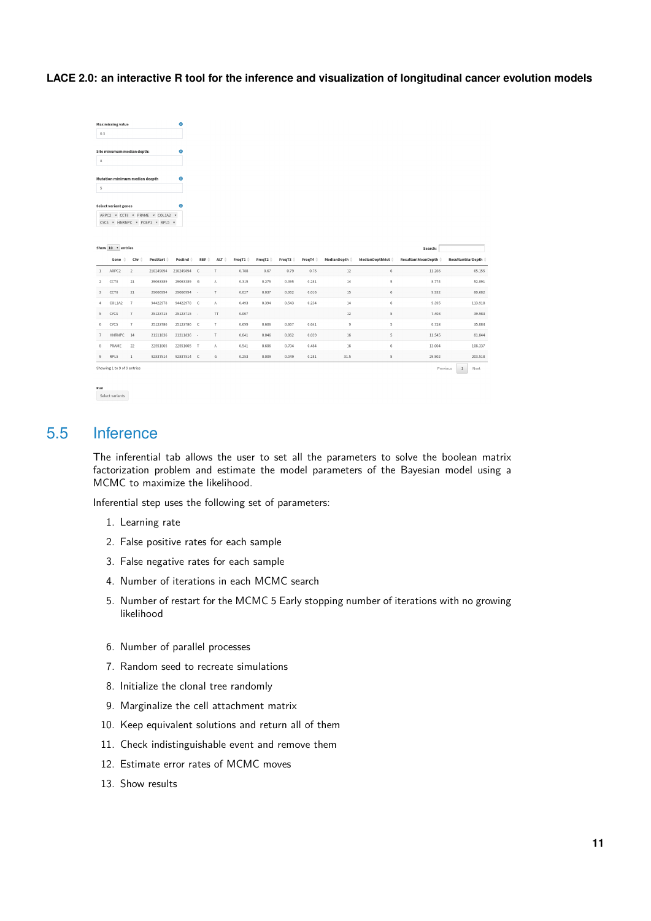| 0.3                             |   |
|---------------------------------|---|
| Site minumum median depth:      | п |
| 8                               |   |
|                                 |   |
|                                 |   |
|                                 |   |
| 5                               |   |
| Mutation minimum median deapth  |   |
| <b>Select variant genes</b>     | ß |
| ARPC2 * CCT8 * PRAME * COL1A2 * |   |

| Show 10 |  |  | entries |
|---------|--|--|---------|
|---------|--|--|---------|

|                | Show 10 v entries<br>Search: |                |                   |                 |              |                |        |        |        |        |                    |                  |                      |                   |
|----------------|------------------------------|----------------|-------------------|-----------------|--------------|----------------|--------|--------|--------|--------|--------------------|------------------|----------------------|-------------------|
|                | Gene                         | Chr            | PosStart $\doteq$ | PosEnd $\doteq$ | REF          | ALT            | FreqT1 | FreqT2 | FreqT3 | FreqT4 | <b>MedianDepth</b> | MedianDepthMut @ | ResultantMeanDepth @ | ResultantVarDepth |
|                | ARPC2                        | $\overline{2}$ | 218249894         | 218249894       | $\mathsf{C}$ |                | 0.788  | 0.67   | 0.79   | 0.75   | 12                 | 6                | 11.266               | 65.155            |
| $\overline{2}$ | CCT8                         | 21             | 29063389          | 29063389        | G            | A              | 0.315  | 0.275  | 0.395  | 0.281  | 14                 | 5                | 8,774                | 52.891            |
| $3 -$          | CCT8                         | 21             | 29066994          | 29066994        | ÷            |                | 0.027  | 0.037  | 0.062  | 0.016  | 15                 | 6                | 9.932                | 80.682            |
| 4              | COL1A2                       | $\overline{7}$ | 94422978          | 94422978        | $\mathsf{C}$ | A              | 0.493  | 0.394  | 0.543  | 0.234  | 14                 | 6                | 9.395                | 113,918           |
| 5              | CYCS                         | $\overline{7}$ | 25123715          | 25123715        | $\sim$       | <b>TT</b>      | 0.007  |        |        |        | 12                 | 5                | 7.408                | 39,983            |
| 6              | CYCS                         | $\overline{7}$ | 25123786          | 25123786        | $\mathsf{C}$ | T              | 0.699  | 0.606  | 0.667  | 0.641  | $\overline{9}$     | 5                | 6.728                | 35.084            |
|                | HNRNPC 14                    |                | 21211836          | 21211836        | ×,           | $\tau$         | 0.041  | 0.046  | 0.062  | 0.039  | $16\,$             | 5                | 11.545               | 81.844            |
| 8              | PRAME                        | 22             | 22551005          | 22551005        | T.           | $\overline{A}$ | 0.541  | 0.606  | 0.704  | 0.484  | $16\,$             | 6                | 13.004               | 106.337           |
| 9              | RPL5                         |                | 92837514          | 92837514        | C            | G              | 0.253  | 0.009  | 0.049  | 0.281  | 31.5               | 5                | 29.902               | 203.518           |
|                | Showing 1 to 9 of 9 entries  |                |                   |                 |              |                |        |        |        |        |                    |                  | Previous             | $\,1$<br>Next     |

```
Run<br>Select variants
```
## 5.5 Inference

The inferential tab allows the user to set all the parameters to solve the boolean matrix factorization problem and estimate the model parameters of the Bayesian model using a MCMC to maximize the likelihood.

Inferential step uses the following set of parameters:

- 1. Learning rate
- 2. False positive rates for each sample
- 3. False negative rates for each sample
- 4. Number of iterations in each MCMC search
- 5. Number of restart for the MCMC 5 Early stopping number of iterations with no growing likelihood
- 6. Number of parallel processes
- 7. Random seed to recreate simulations
- 8. Initialize the clonal tree randomly
- 9. Marginalize the cell attachment matrix
- 10. Keep equivalent solutions and return all of them
- 11. Check indistinguishable event and remove them
- 12. Estimate error rates of MCMC moves
- 13. Show results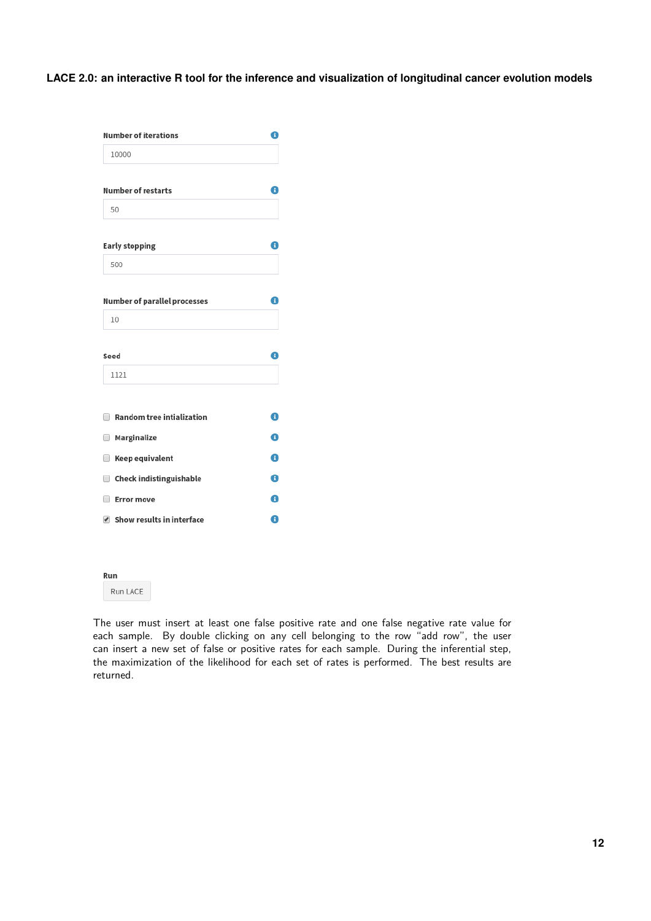| <b>Number of iterations</b>                | 0 |
|--------------------------------------------|---|
| 10000                                      |   |
| <b>Number of restarts</b>                  | A |
| 50                                         |   |
| <b>Early stopping</b>                      | 0 |
| 500                                        |   |
| <b>Number of parallel processes</b>        | 8 |
| 10                                         |   |
| Seed                                       | 8 |
| 1121                                       |   |
| <b>Random tree intialization</b><br>$\Box$ | ❶ |
| <b>Marginalize</b>                         | 0 |
| Keep equivalent<br>$\Box$                  | 0 |
| Check indistinguishable                    | € |
| ∩<br><b>Error move</b>                     | A |
| ✔ Show results in interface                | 0 |

#### Run

Run LACE

The user must insert at least one false positive rate and one false negative rate value for each sample. By double clicking on any cell belonging to the row "add row", the user can insert a new set of false or positive rates for each sample. During the inferential step, the maximization of the likelihood for each set of rates is performed. The best results are returned.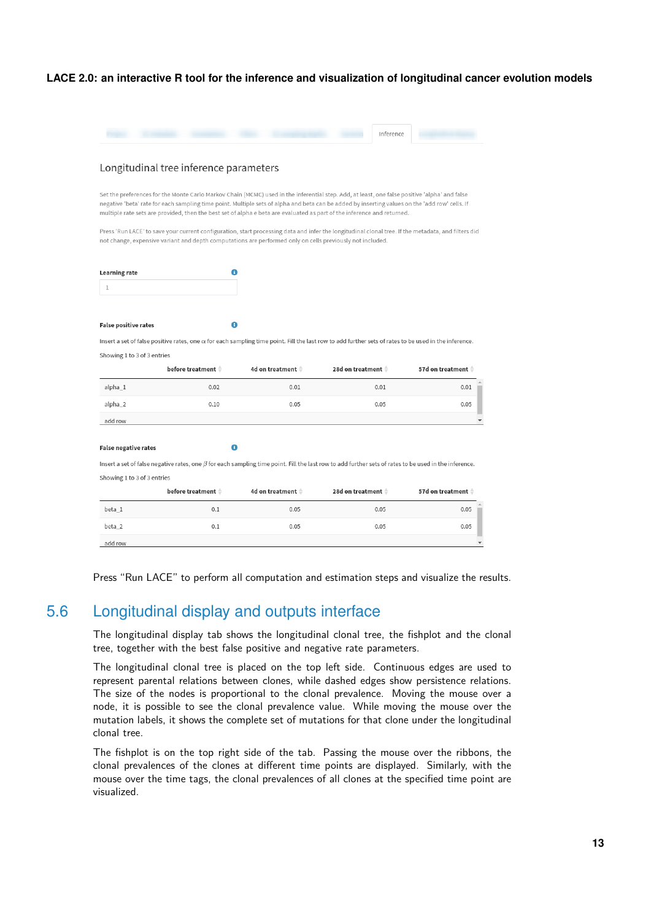|                                                            |                                                                                                           |                   | Inference                                                                                                                                                                                                                                                                                                                                                                                                                  |                                                                                                                                                     |
|------------------------------------------------------------|-----------------------------------------------------------------------------------------------------------|-------------------|----------------------------------------------------------------------------------------------------------------------------------------------------------------------------------------------------------------------------------------------------------------------------------------------------------------------------------------------------------------------------------------------------------------------------|-----------------------------------------------------------------------------------------------------------------------------------------------------|
|                                                            |                                                                                                           |                   |                                                                                                                                                                                                                                                                                                                                                                                                                            |                                                                                                                                                     |
|                                                            | Longitudinal tree inference parameters                                                                    |                   |                                                                                                                                                                                                                                                                                                                                                                                                                            |                                                                                                                                                     |
|                                                            | not change, expensive variant and depth computations are performed only on cells previously not included. |                   | Set the preferences for the Monte Carlo Markov Chain (MCMC) used in the inferential step. Add, at least, one false positive 'alpha' and false<br>negative 'beta' rate for each sampling time point. Multiple sets of alpha and beta can be added by inserting values on the 'add row' cells. If<br>multiple rate sets are provided, then the best set of alpha e beta are evaluated as part of the inference and returned. | Press 'Run LACE' to save your current configuration, start processing data and infer the longitudinal clonal tree. If the metadata, and filters did |
|                                                            | A                                                                                                         |                   |                                                                                                                                                                                                                                                                                                                                                                                                                            |                                                                                                                                                     |
| <b>Learning rate</b><br>1                                  |                                                                                                           |                   |                                                                                                                                                                                                                                                                                                                                                                                                                            |                                                                                                                                                     |
|                                                            |                                                                                                           |                   |                                                                                                                                                                                                                                                                                                                                                                                                                            |                                                                                                                                                     |
| <b>False positive rates</b>                                | A                                                                                                         |                   | Insert a set of false positive rates, one $\alpha$ for each sampling time point. Fill the last row to add further sets of rates to be used in the inference.                                                                                                                                                                                                                                                               |                                                                                                                                                     |
|                                                            | before treatment $\triangleq$                                                                             | 4d on treatment ♦ | 28d on treatment $\hat{=}$                                                                                                                                                                                                                                                                                                                                                                                                 | 57d on treatment                                                                                                                                    |
| alpha_1                                                    | 0.02                                                                                                      | 0.01              | 0.01                                                                                                                                                                                                                                                                                                                                                                                                                       | 0.01                                                                                                                                                |
| Showing 1 to 3 of 3 entries<br>alpha_2                     | 0.10                                                                                                      | 0.05              | 0.05                                                                                                                                                                                                                                                                                                                                                                                                                       | 0.05                                                                                                                                                |
| add row                                                    |                                                                                                           |                   |                                                                                                                                                                                                                                                                                                                                                                                                                            |                                                                                                                                                     |
|                                                            | A                                                                                                         |                   |                                                                                                                                                                                                                                                                                                                                                                                                                            |                                                                                                                                                     |
|                                                            |                                                                                                           |                   | Insert a set of false negative rates, one $\beta$ for each sampling time point. Fill the last row to add further sets of rates to be used in the inference.                                                                                                                                                                                                                                                                |                                                                                                                                                     |
| <b>False negative rates</b><br>Showing 1 to 3 of 3 entries |                                                                                                           |                   |                                                                                                                                                                                                                                                                                                                                                                                                                            |                                                                                                                                                     |
|                                                            | before treatment $\hat{=}$                                                                                | 4d on treatment ♦ | 28d on treatment ♦                                                                                                                                                                                                                                                                                                                                                                                                         | 57d on treatment $\hat{=}$                                                                                                                          |
| beta 1                                                     | 0.1                                                                                                       | 0.05              | 0.05                                                                                                                                                                                                                                                                                                                                                                                                                       | 0.05                                                                                                                                                |
| beta 2                                                     | 0.1                                                                                                       | 0.05              | 0.05                                                                                                                                                                                                                                                                                                                                                                                                                       | 0.05                                                                                                                                                |

<span id="page-12-0"></span>Press "Run LACE" to perform all computation and estimation steps and visualize the results.

## 5.6 Longitudinal display and outputs interface

The longitudinal display tab shows the longitudinal clonal tree, the fishplot and the clonal tree, together with the best false positive and negative rate parameters.

The longitudinal clonal tree is placed on the top left side. Continuous edges are used to represent parental relations between clones, while dashed edges show persistence relations. The size of the nodes is proportional to the clonal prevalence. Moving the mouse over a node, it is possible to see the clonal prevalence value. While moving the mouse over the mutation labels, it shows the complete set of mutations for that clone under the longitudinal clonal tree.

The fishplot is on the top right side of the tab. Passing the mouse over the ribbons, the clonal prevalences of the clones at different time points are displayed. Similarly, with the mouse over the time tags, the clonal prevalences of all clones at the specified time point are visualized.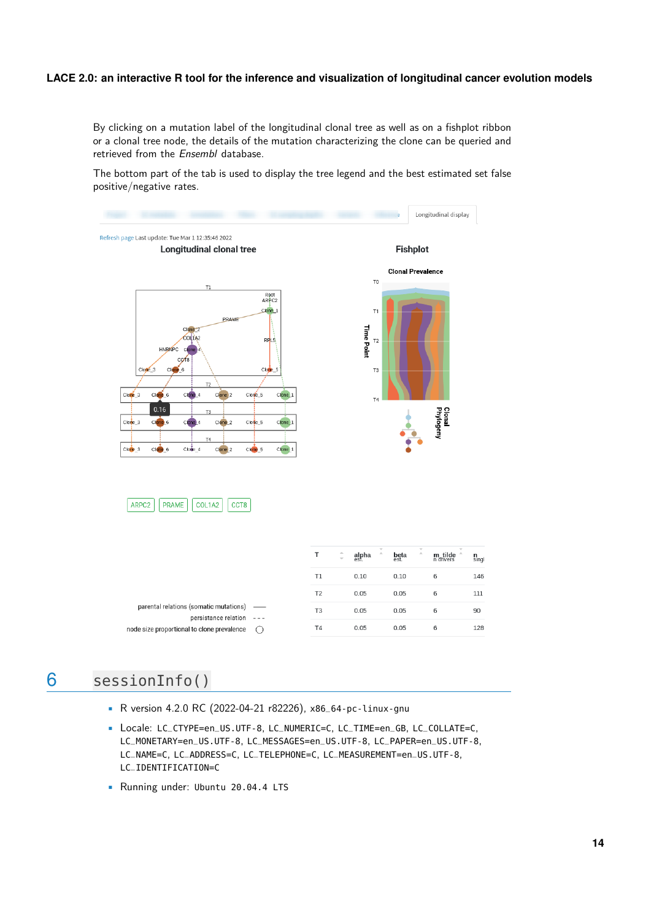By clicking on a mutation label of the longitudinal clonal tree as well as on a fishplot ribbon or a clonal tree node, the details of the mutation characterizing the clone can be queried and retrieved from the Ensembl database.

The bottom part of the tab is used to display the tree legend and the best estimated set false positive/negative rates.



# <span id="page-13-0"></span>6 sessionInfo()

- R version 4.2.0 RC (2022-04-21 r82226), x86\_64-pc-linux-gnu
- Locale: LC\_CTYPE=en\_US.UTF-8, LC\_NUMERIC=C, LC\_TIME=en\_GB, LC\_COLLATE=C, LC\_MONETARY=en\_US.UTF-8, LC\_MESSAGES=en\_US.UTF-8, LC\_PAPER=en\_US.UTF-8, LC\_NAME=C, LC\_ADDRESS=C, LC\_TELEPHONE=C, LC\_MEASUREMENT=en\_US.UTF-8, LC\_IDENTIFICATION=C
- Running under: Ubuntu 20.04.4 LTS